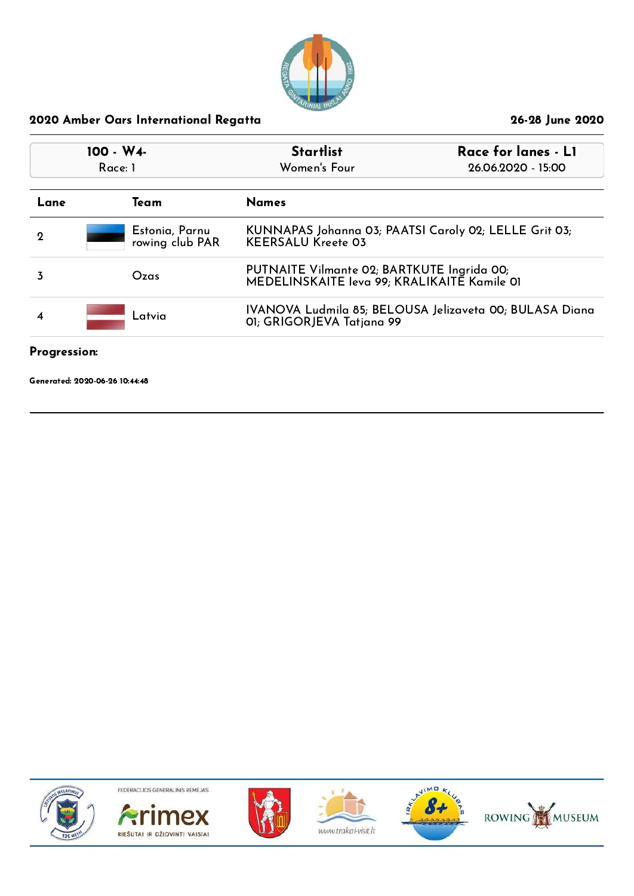

| $100 - W4$<br>Race: 1 |  |                                   | Race for lanes - LI<br><b>Startlist</b><br>Women's Four<br>26.06.2020 - 15:00             |                                                         |
|-----------------------|--|-----------------------------------|-------------------------------------------------------------------------------------------|---------------------------------------------------------|
| Lane                  |  | Team                              | <b>Names</b>                                                                              |                                                         |
| 2                     |  | Estonia, Parnu<br>rowing club PAR | KUNNAPAS Johanna 03; PAATSI Caroly 02; LELLE Grit 03;<br><b>KEERSALU Kreete 03</b>        |                                                         |
| 3                     |  | Ozas                              | PUTNAITE Vilmante 02; BARTKUTE Ingrida 00;<br>MEDELINSKAITE Ieva 99; KRALIKAITE Kamile 01 |                                                         |
| Latvia<br>4           |  |                                   | 01; GRIGORJEVA Tatjana 99                                                                 | IVANOVA Ludmila 85; BELOUSA Jelizaveta 00; BULASA Diana |
|                       |  |                                   |                                                                                           |                                                         |

#### Progression:

Generated: 2020-06-26 10:44:48











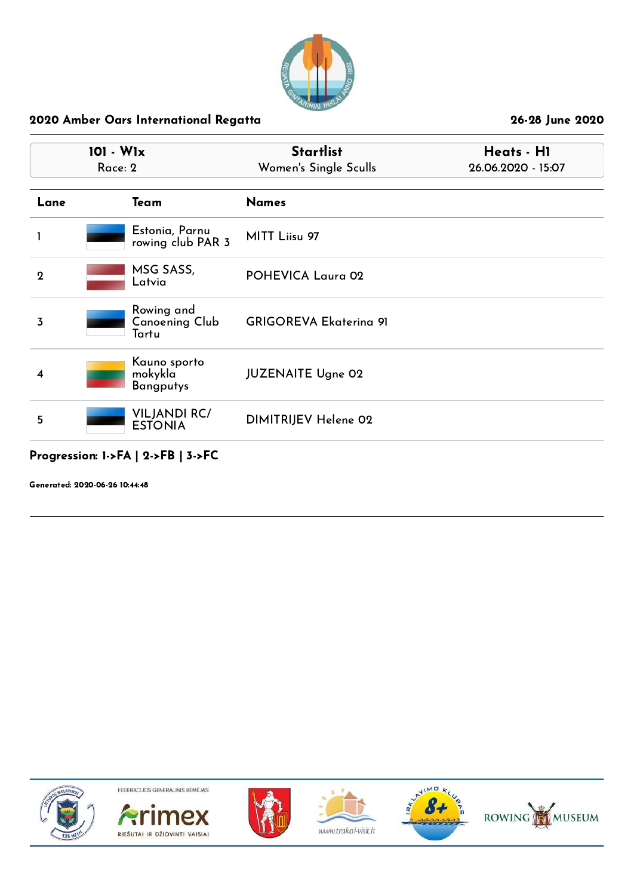

|                | 101 - W1x<br>Race: 2                        | <b>Startlist</b><br>Women's Single Sculls | Heats - HI<br>26.06.2020 - 15:07 |  |
|----------------|---------------------------------------------|-------------------------------------------|----------------------------------|--|
| Lane           | Team                                        | <b>Names</b>                              |                                  |  |
|                | Estonia, Parnu<br>rowing club PAR 3         | MITT Liisu 97                             |                                  |  |
| $\overline{2}$ | MSG SASS,<br>Latvia                         | POHEVICA Laura 02                         |                                  |  |
| 3              | Rowing and<br>Canoening Club<br>Tartu       | <b>GRIGOREVA Ekaterina 91</b>             |                                  |  |
| 4              | Kauno sporto<br>mokykla<br><b>Bangputys</b> | <b>JUZENAITE Ugne 02</b>                  |                                  |  |
| 5              | <b>VILJANDI RC/</b><br><b>ESTONIA</b>       | DIMITRIJEV Helene 02                      |                                  |  |
|                |                                             |                                           |                                  |  |

### Progression: 1->FA | 2->FB | 3->FC

Generated: 2020-06-26 10:44:48











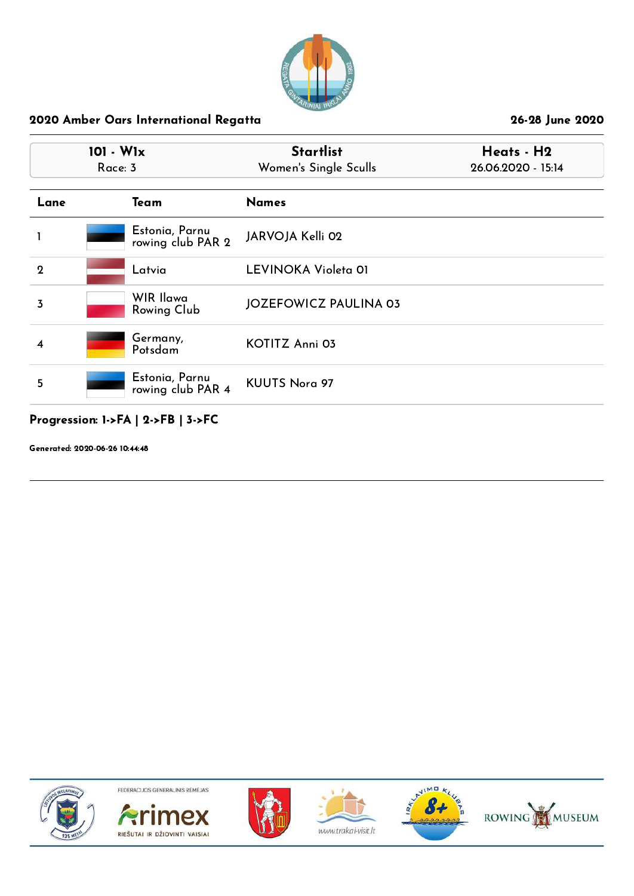

|             | $101 - W1x$<br>Race: 3              | <b>Startlist</b><br>Women's Single Sculls | Heats - H2<br>26.06.2020 - 15:14 |
|-------------|-------------------------------------|-------------------------------------------|----------------------------------|
| Lane        | Team                                | <b>Names</b>                              |                                  |
|             | Estonia, Parnu<br>rowing club PAR 2 | JARVOJA Kelli 02                          |                                  |
| $\mathbf 2$ | Latvia                              | LEVINOKA Violeta 01                       |                                  |
| 3           | WIR Ilawa<br>Rowing Club            | <b>JOZEFOWICZ PAULINA 03</b>              |                                  |
| 4           | Germany,<br>Potsdam                 | <b>KOTITZ Anni 03</b>                     |                                  |
| 5           | Estonia, Parnu<br>rowing club PAR 4 | <b>KUUTS Nora 97</b>                      |                                  |

## Progression: 1->FA | 2->FB | 3->FC

Generated: 2020-06-26 10:44:48











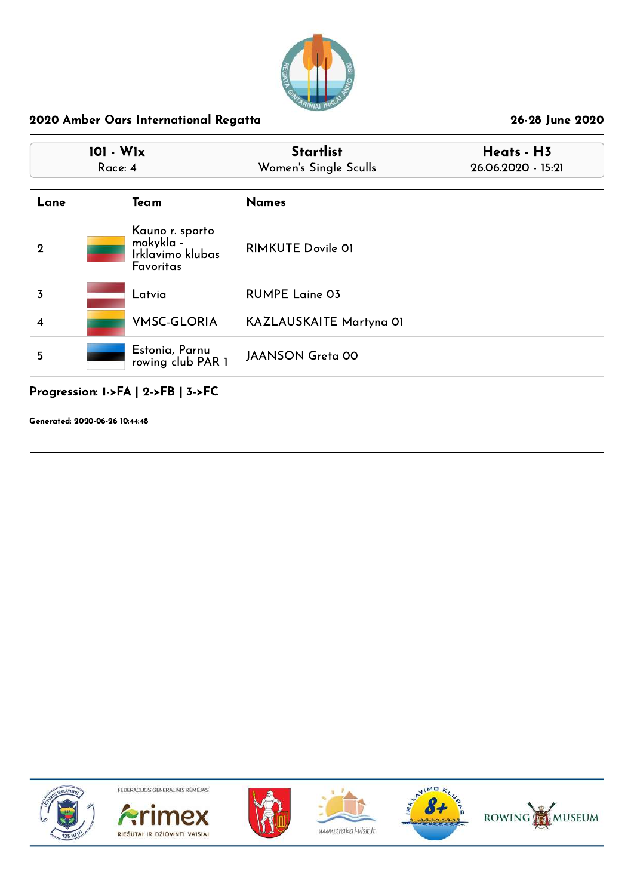

|             | $101 - W1x$<br>Race: 4 |                                                               | <b>Startlist</b><br>Women's Single Sculls | Heats - H3<br>26.06.2020 - 15:21 |
|-------------|------------------------|---------------------------------------------------------------|-------------------------------------------|----------------------------------|
| Lane        |                        | Team                                                          | <b>Names</b>                              |                                  |
| $\mathbf 2$ |                        | Kauno r. sporto<br>mokykla -<br>Irklavimo klubas<br>Favoritas | <b>RIMKUTE Dovile 01</b>                  |                                  |
| 3           |                        | Latvia                                                        | <b>RUMPE Laine 03</b>                     |                                  |
| 4           |                        | <b>VMSC-GLORIA</b>                                            | KAZLAUSKAITE Martyna 01                   |                                  |
| 5           |                        | Estonia, Parnu<br>rowing club PAR 1                           | <b>JAANSON Greta 00</b>                   |                                  |

# Progression: 1->FA | 2->FB | 3->FC

Generated: 2020-06-26 10:44:48











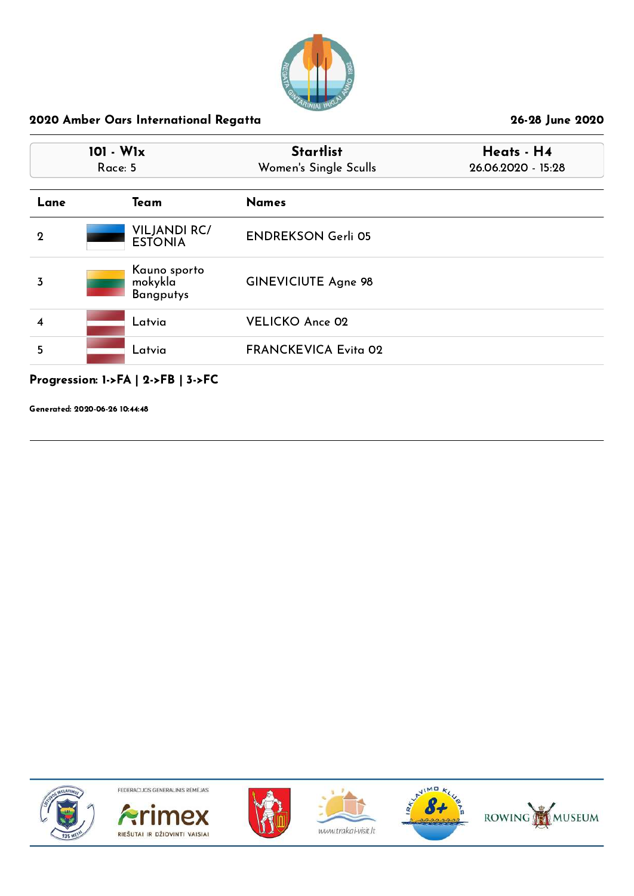

|             | $101 - W1x$<br>Race: 5 |                                             | <b>Startlist</b><br>Women's Single Sculls | Heats - H4<br>26.06.2020 - 15:28 |  |
|-------------|------------------------|---------------------------------------------|-------------------------------------------|----------------------------------|--|
| Lane        |                        | Team                                        | <b>Names</b>                              |                                  |  |
| $\mathbf 2$ |                        | <b>VILJANDI RC/</b><br><b>ESTONIA</b>       | <b>ENDREKSON Gerli 05</b>                 |                                  |  |
| 3           |                        | Kauno sporto<br>mokykla<br><b>Bangputys</b> | <b>GINEVICIUTE Agne 98</b>                |                                  |  |
| 4           |                        | Latvia                                      | <b>VELICKO Ance 02</b>                    |                                  |  |
| 5           |                        | Latvia                                      | <b>FRANCKEVICA Evita 02</b>               |                                  |  |

# Progression: 1->FA | 2->FB | 3->FC

Generated: 2020-06-26 10:44:48











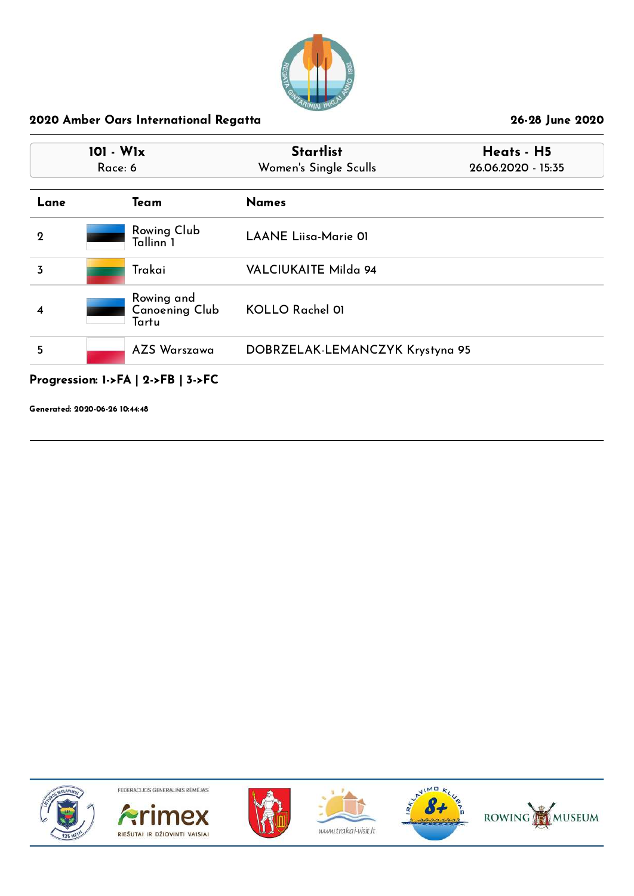

| 101 - W1x<br>Race: 6 |                                              | <b>Startlist</b><br>Women's Single Sculls | Heats - H5<br>26.06.2020 - 15:35 |
|----------------------|----------------------------------------------|-------------------------------------------|----------------------------------|
| Lane                 | Team                                         | <b>Names</b>                              |                                  |
| $\mathbf 2$          | Rowing Club<br>Tallinn 1                     | <b>LAANE Liisa-Marie 01</b>               |                                  |
| 3                    | Trakai                                       | VALCIUKAITE Milda 94                      |                                  |
| 4                    | Rowing and<br><b>Canoening Club</b><br>Tartu | <b>KOLLO Rachel 01</b>                    |                                  |
| 5                    | <b>AZS Warszawa</b>                          | DOBRZELAK-LEMANCZYK Krystyna 95           |                                  |

## Progression: 1->FA | 2->FB | 3->FC

Generated: 2020-06-26 10:44:48











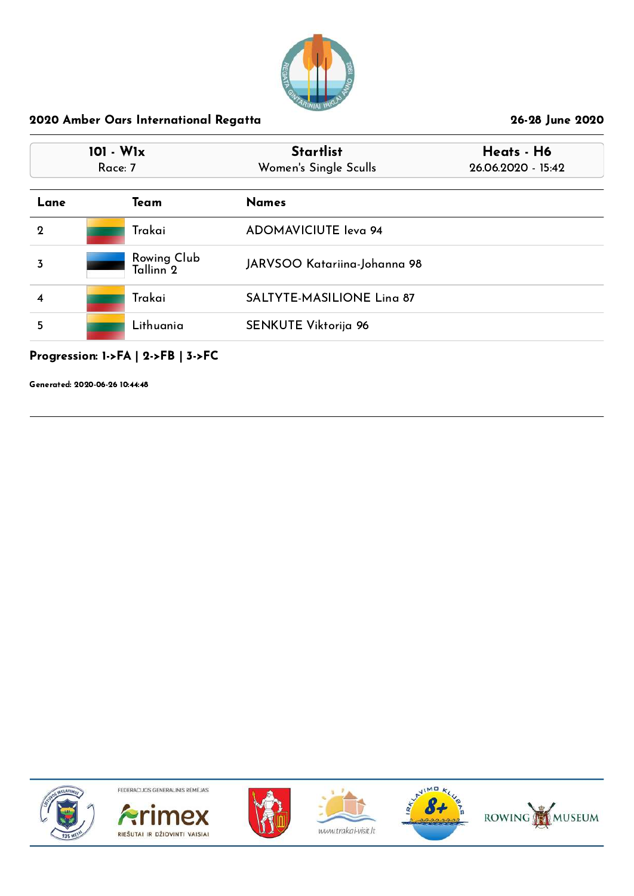

| $101 - W1x$<br>Race: 7 |                                     | <b>Startlist</b><br>Women's Single Sculls | Heats - H6<br>26.06.2020 - 15:42 |
|------------------------|-------------------------------------|-------------------------------------------|----------------------------------|
| Lane                   | Team                                | <b>Names</b>                              |                                  |
| $\overline{2}$         | Trakai                              | <b>ADOMAVICIUTE leva 94</b>               |                                  |
| 3                      | Rowing Club<br>Tallinn <sup>2</sup> | JARVSOO Katariina-Johanna 98              |                                  |
| 4                      | Trakai                              | <b>SALTYTE-MASILIONE Ling 87</b>          |                                  |
| 5                      | Lithuania                           | <b>SENKUTE Viktorija 96</b>               |                                  |

# Progression: 1->FA | 2->FB | 3->FC

Generated: 2020-06-26 10:44:48











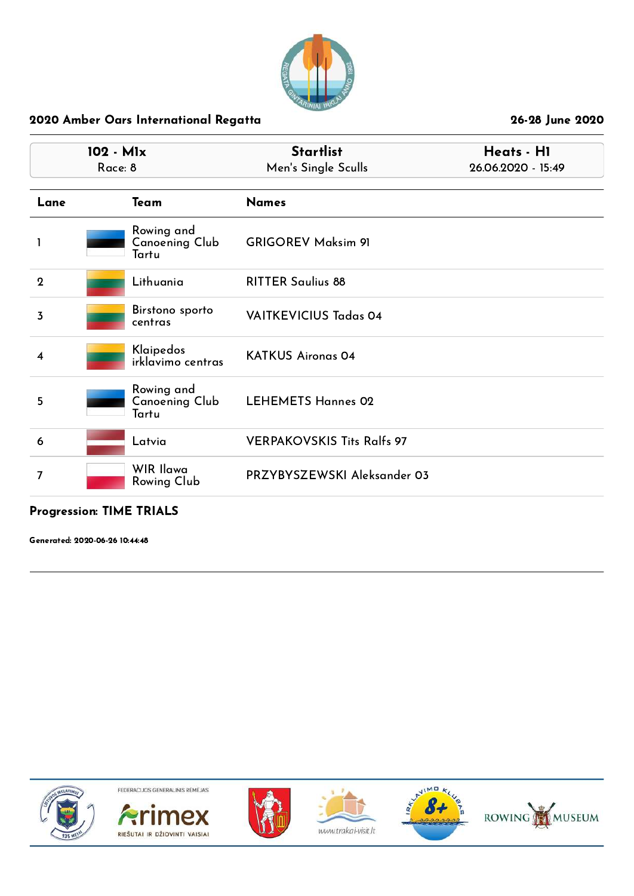

| 102 - M1x<br>Race: 8 |                                              | <b>Startlist</b><br>Men's Single Sculls | Heats - H1<br>26.06.2020 - 15:49 |  |
|----------------------|----------------------------------------------|-----------------------------------------|----------------------------------|--|
| Lane                 | Team                                         | <b>Names</b>                            |                                  |  |
| 1                    | Rowing and<br><b>Canoening Club</b><br>Tartu | <b>GRIGOREV Maksim 91</b>               |                                  |  |
| $\mathbf{2}$         | Lithuania                                    | <b>RITTER Saulius 88</b>                |                                  |  |
| 3                    | Birstono sporto<br>centras                   | <b>VAITKEVICIUS Tadas 04</b>            |                                  |  |
| $\overline{\bf 4}$   | Klaipedos<br>irklavimo centras               | <b>KATKUS Aironas 04</b>                |                                  |  |
| 5                    | Rowing and<br><b>Canoening Club</b><br>Tartu | <b>LEHEMETS Hannes 02</b>               |                                  |  |
| 6                    | Latvia                                       | <b>VERPAKOVSKIS Tits Ralfs 97</b>       |                                  |  |
| 7                    | WIR Ilawa<br>Rowing Club                     | PRZYBYSZEWSKI Aleksander 03             |                                  |  |

#### Progression: TIME TRIALS

Generated: 2020-06-26 10:44:48











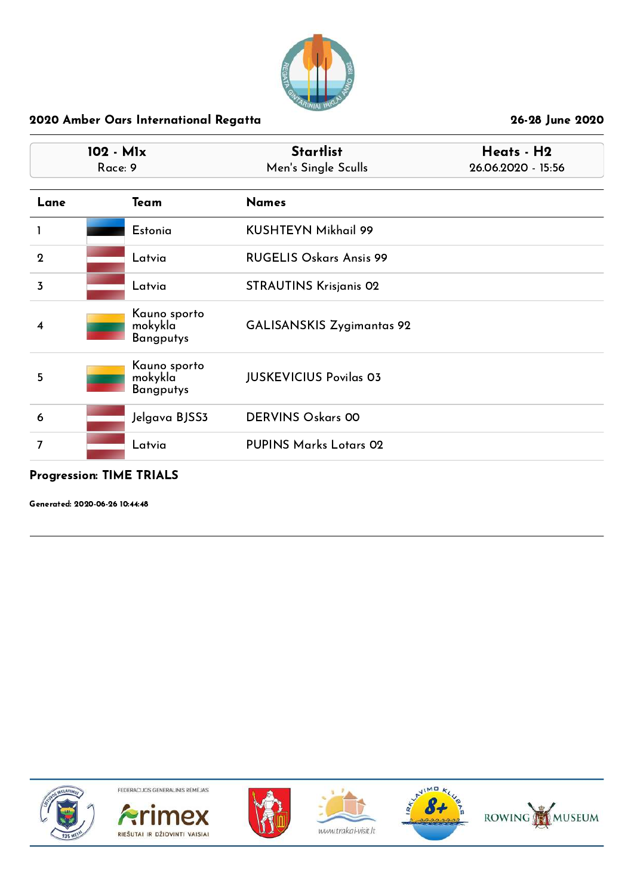

|                | 102 - M1x<br>Race: 9                        | <b>Startlist</b><br>Men's Single Sculls | Heats - H2<br>26.06.2020 - 15:56 |  |
|----------------|---------------------------------------------|-----------------------------------------|----------------------------------|--|
| Lane           | Team                                        | <b>Names</b>                            |                                  |  |
|                | Estonia                                     | <b>KUSHTEYN Mikhail 99</b>              |                                  |  |
| $\mathbf{2}$   | Latvia                                      | <b>RUGELIS Oskars Ansis 99</b>          |                                  |  |
| $\overline{3}$ | Latvia                                      | <b>STRAUTINS Krisjanis 02</b>           |                                  |  |
| 4              | Kauno sporto<br>mokykla<br><b>Bangputys</b> | <b>GALISANSKIS Zygimantas 92</b>        |                                  |  |
| 5              | Kauno sporto<br>mokykla<br><b>Bangputys</b> | <b>JUSKEVICIUS Povilas 03</b>           |                                  |  |
| 6              | Jelgava BJSS3                               | <b>DERVINS Oskars 00</b>                |                                  |  |
| 7              | Latvia                                      | <b>PUPINS Marks Lotars 02</b>           |                                  |  |

## Progression: TIME TRIALS

Generated: 2020-06-26 10:44:48











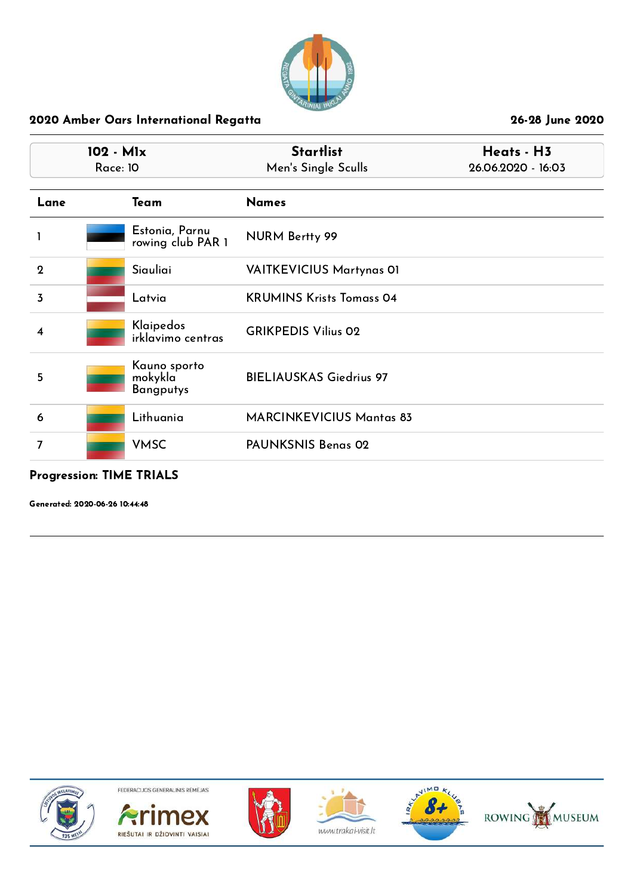

|                  | 102 - M1x<br><b>Race: 10</b> |                                             | <b>Startlist</b><br>Men's Single Sculls | Heats - H3<br>26.06.2020 - 16:03 |  |
|------------------|------------------------------|---------------------------------------------|-----------------------------------------|----------------------------------|--|
| Lane             |                              | Team                                        | <b>Names</b>                            |                                  |  |
| 1                |                              | Estonia, Parnu<br>rowing club PAR 1         | <b>NURM Bertty 99</b>                   |                                  |  |
| $\boldsymbol{2}$ |                              | Siauliai                                    | <b>VAITKEVICIUS Martynas 01</b>         |                                  |  |
| $\overline{3}$   |                              | Latvia                                      | <b>KRUMINS Krists Tomass 04</b>         |                                  |  |
| 4                |                              | Klaipedos<br>irklavimo centras              | <b>GRIKPEDIS Vilius 02</b>              |                                  |  |
| 5                |                              | Kauno sporto<br>mokykla<br><b>Bangputys</b> | <b>BIELIAUSKAS Giedrius 97</b>          |                                  |  |
| 6                |                              | Lithuania                                   | <b>MARCINKEVICIUS Mantas 83</b>         |                                  |  |
| 7                |                              | <b>VMSC</b>                                 | PAUNKSNIS Benas 02                      |                                  |  |

## Progression: TIME TRIALS

Generated: 2020-06-26 10:44:48











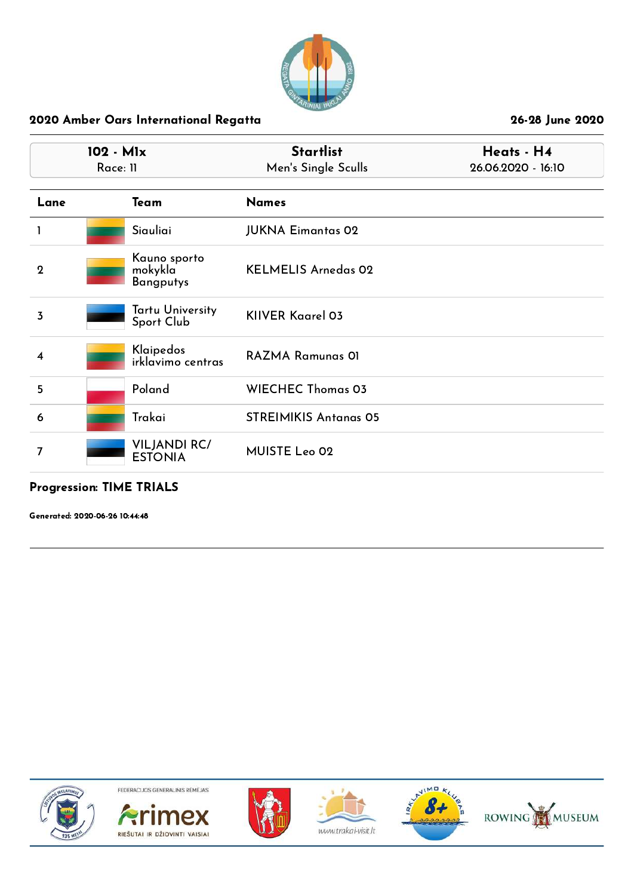

| 102 - Mlx<br>Race: 11 |                                             | <b>Startlist</b><br>Men's Single Sculls | Heats - H4<br>26.06.2020 - 16:10 |
|-----------------------|---------------------------------------------|-----------------------------------------|----------------------------------|
| Lane                  | Team                                        | <b>Names</b>                            |                                  |
|                       | Siauliai                                    | <b>JUKNA Eimantas 02</b>                |                                  |
| $\mathbf 2$           | Kauno sporto<br>mokykla<br><b>Bangputys</b> | <b>KELMELIS Arnedas 02</b>              |                                  |
| 3                     | Tartu University<br>Sport Club              | <b>KIIVER Kaarel 03</b>                 |                                  |
| 4                     | Klaipedos<br>irklavimo centras              | <b>RAZMA Ramunas OI</b>                 |                                  |
| 5                     | Poland                                      | <b>WIECHEC Thomas 03</b>                |                                  |
| 6                     | Trakai                                      | <b>STREIMIKIS Antanas 05</b>            |                                  |
| 7                     | <b>VILJANDI RC/</b><br><b>ESTONIA</b>       | MUISTE Leo 02                           |                                  |

#### Progression: TIME TRIALS

Generated: 2020-06-26 10:44:48











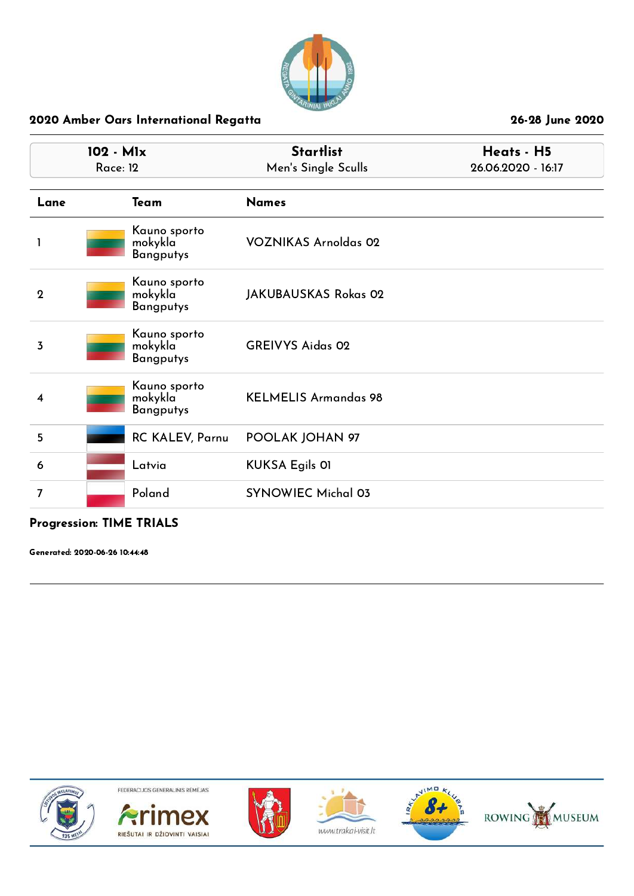

| 102 - Mlx<br><b>Race: 12</b> |  |                                             | <b>Startlist</b><br>Men's Single Sculls | Heats - H5<br>26.06.2020 - 16:17 |  |
|------------------------------|--|---------------------------------------------|-----------------------------------------|----------------------------------|--|
| Lane                         |  | Team                                        | <b>Names</b>                            |                                  |  |
|                              |  | Kauno sporto<br>mokykla<br><b>Bangputys</b> | <b>VOZNIKAS Arnoldas 02</b>             |                                  |  |
| $\overline{2}$               |  | Kauno sporto<br>mokykla<br><b>Bangputys</b> | <b>JAKUBAUSKAS Rokas 02</b>             |                                  |  |
| 3                            |  | Kauno sporto<br>mokykla<br><b>Bangputys</b> | <b>GREIVYS Aidas 02</b>                 |                                  |  |
| 4                            |  | Kauno sporto<br>mokykla<br><b>Bangputys</b> | <b>KELMELIS Armandas 98</b>             |                                  |  |
| 5                            |  | <b>RC KALEV, Parnu</b>                      | POOLAK JOHAN 97                         |                                  |  |
| 6                            |  | Latvia                                      | <b>KUKSA Egils OI</b>                   |                                  |  |
| 7                            |  | Poland                                      | <b>SYNOWIEC Michal 03</b>               |                                  |  |

## Progression: TIME TRIALS

Generated: 2020-06-26 10:44:48













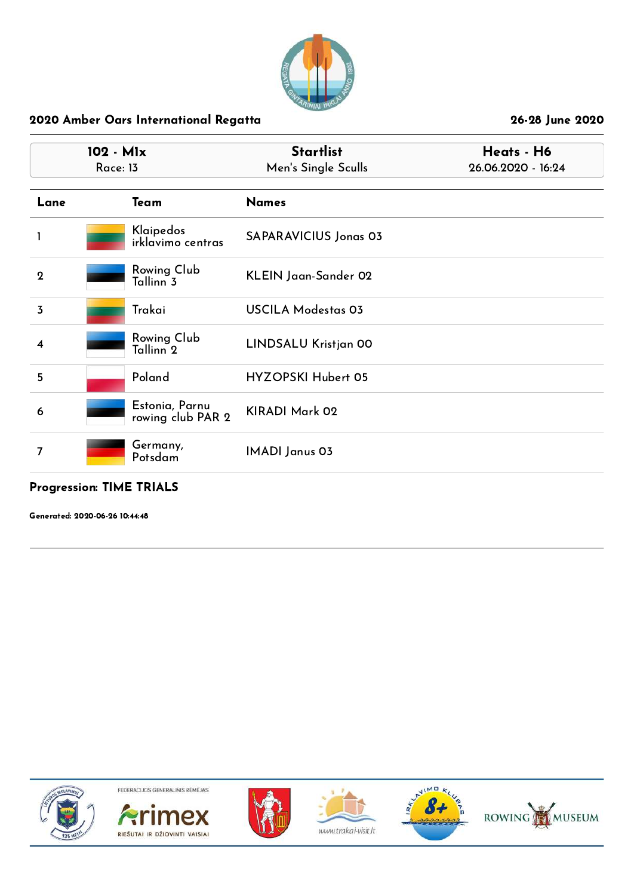

| <b>Startlist</b><br>102 - M1x<br>Men's Single Sculls<br>Race: 13 |                              | Heats - H6<br>26.06.2020 - 16:24 |  |
|------------------------------------------------------------------|------------------------------|----------------------------------|--|
| Team                                                             | <b>Names</b>                 |                                  |  |
| Klaipedos<br>irklavimo centras                                   | <b>SAPARAVICIUS Jonas 03</b> |                                  |  |
| Rowing Club<br>Tallinn <sub>3</sub>                              | KLEIN Jaan-Sander 02         |                                  |  |
| Trakai                                                           | <b>USCILA Modestas 03</b>    |                                  |  |
| Rowing Club<br>Tallinn <sup>2</sup>                              | LINDSALU Kristjan 00         |                                  |  |
| Poland                                                           | HYZOPSKI Hubert 05           |                                  |  |
| Estonia, Parnu<br>rowing club PAR 2                              | KIRADI Mark 02               |                                  |  |
| Germany,<br>Potsdam                                              | <b>IMADI</b> Janus 03        |                                  |  |
|                                                                  |                              |                                  |  |

## Progression: TIME TRIALS

Generated: 2020-06-26 10:44:48











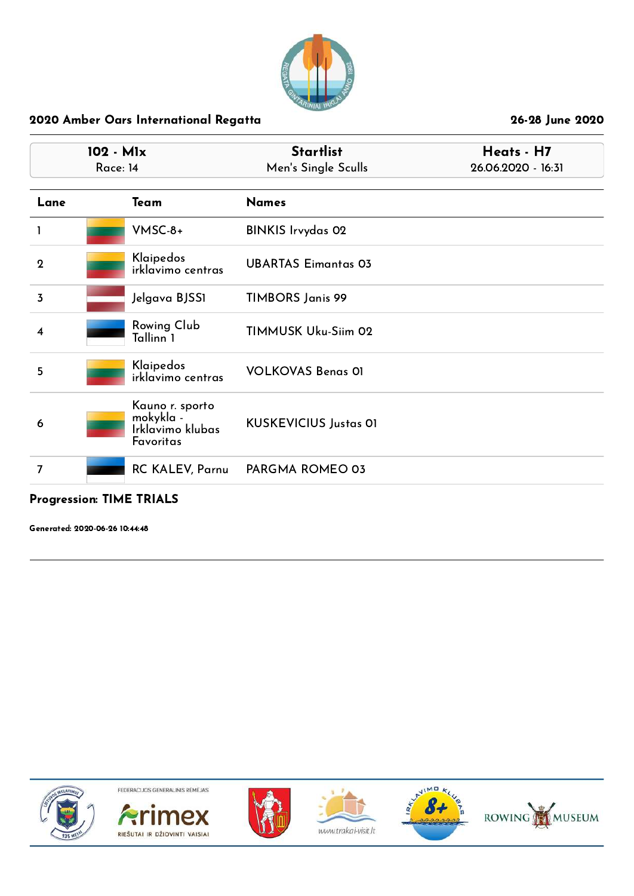

| 102 - M1x<br>Race: 14                                         | <b>Startlist</b><br>Men's Single Sculls | Heats - H7<br>26.06.2020 - 16:31 |  |
|---------------------------------------------------------------|-----------------------------------------|----------------------------------|--|
| Team                                                          | <b>Names</b>                            |                                  |  |
| VMSC-8+                                                       | <b>BINKIS Irvydas 02</b>                |                                  |  |
| Klaipedos<br>irklavimo centras                                | <b>UBARTAS Eimantas 03</b>              |                                  |  |
| Jelgava BJSS1                                                 | <b>TIMBORS Janis 99</b>                 |                                  |  |
| Rowing Club<br>Tallinn 1                                      | TIMMUSK Uku-Siim 02                     |                                  |  |
| Klaipedos<br>irklavimo centras                                | <b>VOLKOVAS Benas 01</b>                |                                  |  |
| Kauno r. sporto<br>mokykla -<br>Irklavimo klubas<br>Favoritas | <b>KUSKEVICIUS Justas OI</b>            |                                  |  |
|                                                               | PARGMA ROMEO 03                         |                                  |  |
|                                                               |                                         | <b>RC KALEV, Parnu</b>           |  |

# Progression: TIME TRIALS

Generated: 2020-06-26 10:44:48











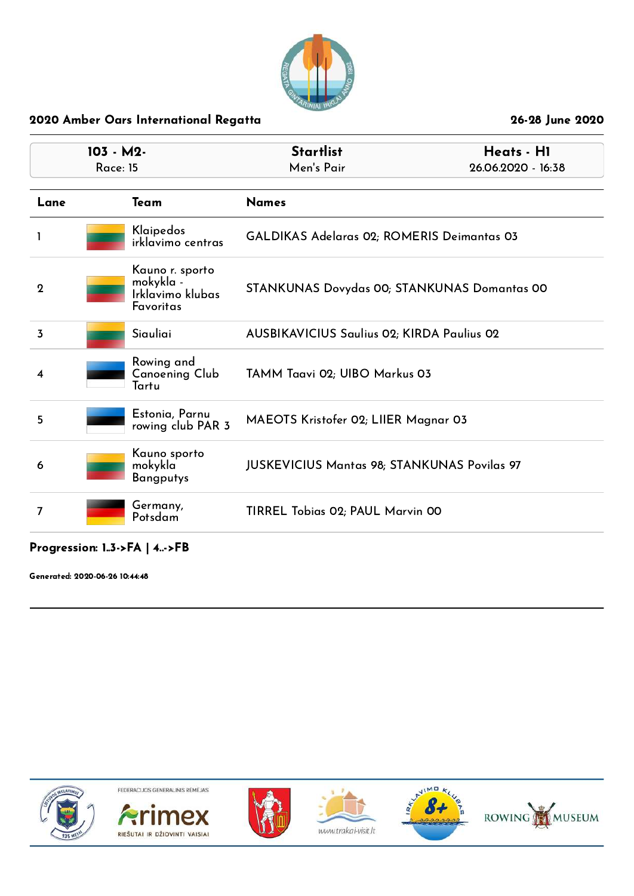

| $103 - M2$<br><b>Race: 15</b> |                                                               | <b>Startlist</b><br>Heats - H1<br>Men's Pair<br>26.06.2020 - 16:38 |                                            |  |
|-------------------------------|---------------------------------------------------------------|--------------------------------------------------------------------|--------------------------------------------|--|
| Lane                          | Team                                                          | <b>Names</b>                                                       |                                            |  |
| -1                            | Klaipedos<br>irklavimo centras                                |                                                                    | GALDIKAS Adelaras 02; ROMERIS Deimantas 03 |  |
| $\mathbf 2$                   | Kauno r. sporto<br>mokykla -<br>Irklavimo klubas<br>Favoritas | STANKUNAS Dovydas 00; STANKUNAS Domantas 00                        |                                            |  |
| 3                             | Siauliai                                                      | <b>AUSBIKAVICIUS Saulius 02; KIRDA Paulius 02</b>                  |                                            |  |
| 4                             | Rowing and<br>Canoening Club<br>Tartu                         | TAMM Taavi 02; UIBO Markus 03                                      |                                            |  |
| 5                             | Estonia, Parnu<br>rowing club PAR 3                           | MAEOTS Kristofer 02; LIIER Magnar 03                               |                                            |  |
| 6                             | Kauno sporto<br>mokykla<br><b>Bangputys</b>                   | <b>JUSKEVICIUS Mantas 98; STANKUNAS Povilas 97</b>                 |                                            |  |
| 7                             | Germany,<br>Potsdam                                           | TIRREL Tobias 02; PAUL Marvin 00                                   |                                            |  |
|                               |                                                               |                                                                    |                                            |  |

### Progression: 1..3->FA | 4..->FB

Generated: 2020-06-26 10:44:48

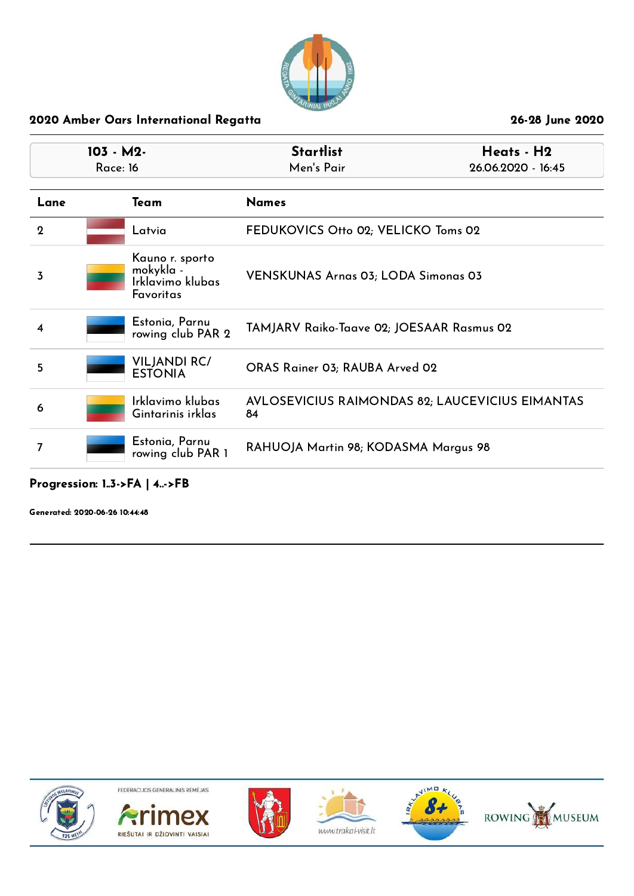

| $103 - M2$<br><b>Race: 16</b> |                                                               | <b>Startlist</b><br>Men's Pair                        | Heats - H2<br>26.06.2020 - 16:45 |
|-------------------------------|---------------------------------------------------------------|-------------------------------------------------------|----------------------------------|
| Lane                          | Team                                                          | <b>Names</b>                                          |                                  |
| $\mathbf 2$                   | Latvia                                                        | FEDUKOVICS Otto 02; VELICKO Toms 02                   |                                  |
| 3                             | Kauno r. sporto<br>mokykla -<br>Irklavimo klubas<br>Favoritas | <b>VENSKUNAS Arnas 03; LODA Simonas 03</b>            |                                  |
| 4                             | Estonia, Parnu<br>rowing club PAR 2                           | TAMJARV Raiko-Taave 02; JOESAAR Rasmus 02             |                                  |
| 5                             | <b>VILJANDI RC/</b><br><b>ESTONIA</b>                         | ORAS Rainer 03; RAUBA Arved 02                        |                                  |
| 6                             | Irklavimo klubas<br>Gintarinis irklas                         | AVLOSEVICIUS RAIMONDAS 82; LAUCEVICIUS EIMANTAS<br>84 |                                  |
| 7                             | Estonia, Parnu<br>rowing club PAR 1                           | RAHUOJA Martin 98; KODASMA Margus 98                  |                                  |

## Progression: 1..3->FA | 4..->FB

Generated: 2020-06-26 10:44:48











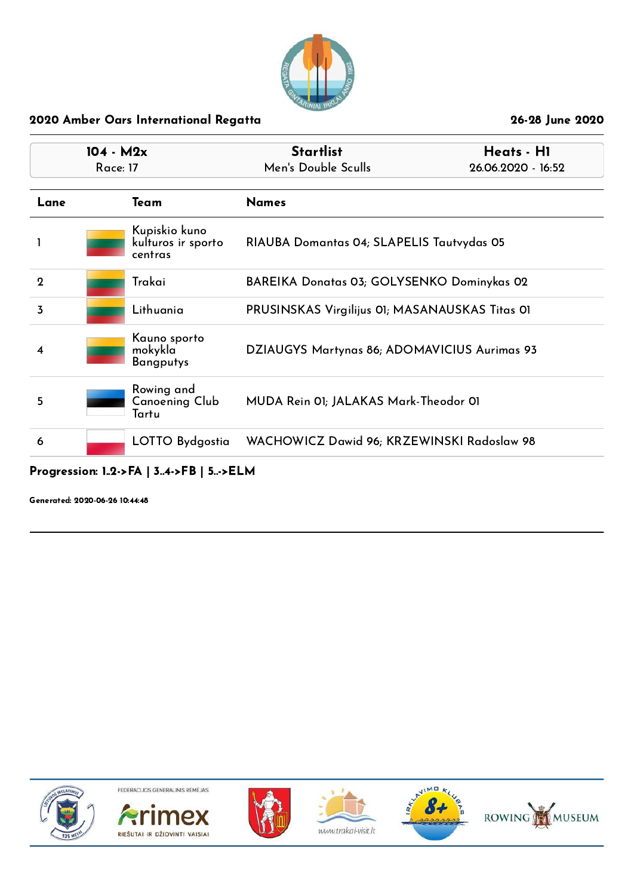

| $104 - M2x$    |          |                                                | <b>Startlist</b>                               | Heats - H1         |
|----------------|----------|------------------------------------------------|------------------------------------------------|--------------------|
|                | Race: 17 |                                                | Men's Double Sculls                            | 26.06.2020 - 16:52 |
| Lane           |          | Team                                           | <b>Names</b>                                   |                    |
|                |          | Kupiskio kuno<br>kulturos ir sporto<br>centras | RIAUBA Domantas 04; SLAPELIS Tautvydas 05      |                    |
| $\overline{2}$ |          | Trakai                                         | BAREIKA Donatas 03; GOLYSENKO Dominykas 02     |                    |
| 3              |          | Lithuania                                      | PRUSINSKAS Virgilijus 01; MASANAUSKAS Titas 01 |                    |
| 4              |          | Kauno sporto<br>mokykla<br>Bangputys           | DZIAUGYS Martynas 86; ADOMAVICIUS Aurimas 93   |                    |
| 5              |          | Rowing and<br>Canoening Club<br>Tartu          | MUDA Rein 01; JALAKAS Mark-Theodor 01          |                    |
| 6              |          | LOTTO Bydgostia                                | WACHOWICZ Dawid 96; KRZEWINSKI Radoslaw 98     |                    |

## Progression: 1..2->FA | 3..4->FB | 5..->ELM

Generated: 2020-06-26 10:44:48











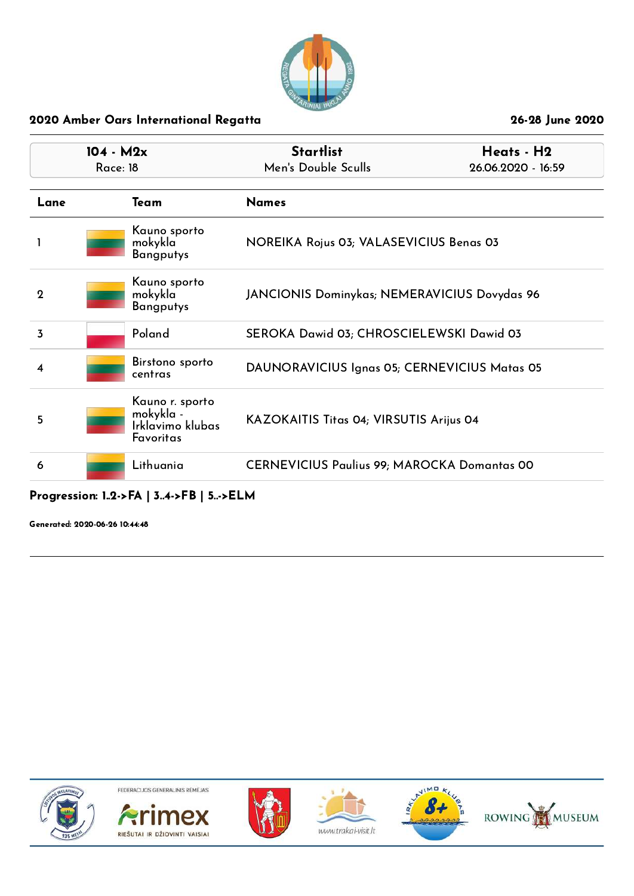

| $104 - M2x$<br>Race: 18 |                                                               | <b>Startlist</b><br>Men's Double Sculls            | Heats - H2<br>26.06.2020 - 16:59 |
|-------------------------|---------------------------------------------------------------|----------------------------------------------------|----------------------------------|
| Lane                    | Team                                                          | <b>Names</b>                                       |                                  |
|                         | Kauno sporto<br>mokykla<br><b>Bangputys</b>                   | NOREIKA Rojus 03; VALASEVICIUS Benas 03            |                                  |
| $\mathbf 2$             | Kauno sporto<br>mokykla<br><b>Bangputys</b>                   | JANCIONIS Dominykas; NEMERAVICIUS Dovydas 96       |                                  |
| 3                       | Poland                                                        | SEROKA Dawid 03; CHROSCIELEWSKI Dawid 03           |                                  |
| 4                       | Birstono sporto<br>centras                                    | DAUNORAVICIUS Ignas 05; CERNEVICIUS Matas 05       |                                  |
| 5                       | Kauno r. sporto<br>mokykla -<br>Irklavimo klubas<br>Favoritas | KAZOKAITIS Titas 04; VIRSUTIS Arijus 04            |                                  |
| 6                       | Lithuania                                                     | <b>CERNEVICIUS Paulius 99; MAROCKA Domantas 00</b> |                                  |

## Progression: 1..2->FA | 3..4->FB | 5..->ELM

Generated: 2020-06-26 10:44:48











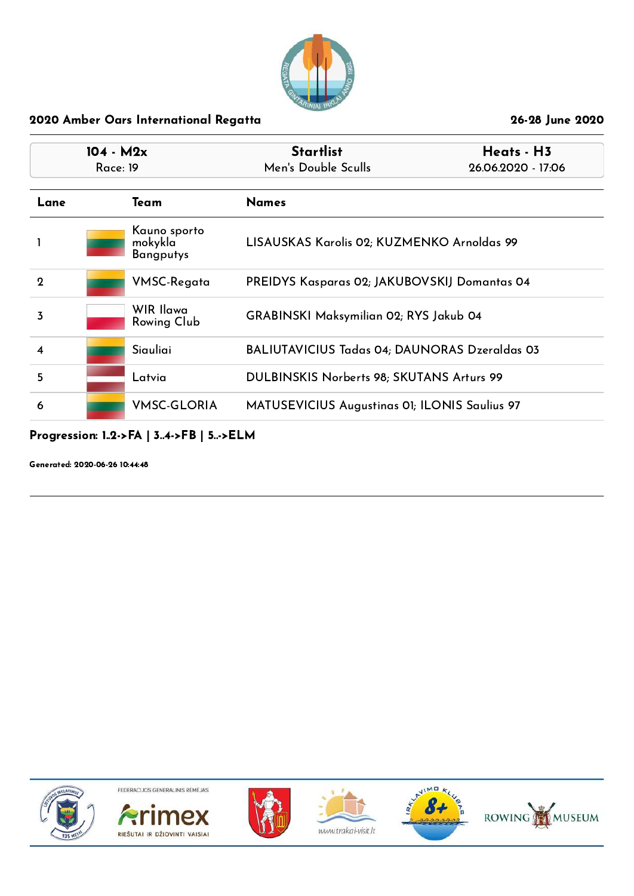

| $104 - M2x$<br>Race: 19 |  |                                             | <b>Startlist</b><br>Heats - H3<br>Men's Double Sculls<br>26.06.2020 - 17:06 |  |
|-------------------------|--|---------------------------------------------|-----------------------------------------------------------------------------|--|
| Lane                    |  | Team                                        | <b>Names</b>                                                                |  |
|                         |  | Kauno sporto<br>mokykla<br><b>Bangputys</b> | LISAUSKAS Karolis 02; KUZMENKO Arnoldas 99                                  |  |
| $\mathbf{Q}$            |  | VMSC-Regata                                 | <b>PREIDYS Kasparas 02; JAKUBOVSKIJ Domantas 04</b>                         |  |
| 3                       |  | WIR Ilawa<br><b>Rowing Club</b>             | <b>GRABINSKI Maksymilian 02; RYS Jakub 04</b>                               |  |
| $\overline{\mathbf{4}}$ |  | Siauliai                                    | <b>BALIUTAVICIUS Tadas 04; DAUNORAS Dzeraldas 03</b>                        |  |
| 5                       |  | Latvia                                      | DULBINSKIS Norberts 98; SKUTANS Arturs 99                                   |  |
| 6                       |  | <b>VMSC-GLORIA</b>                          | MATUSEVICIUS Augustinas 01; ILONIS Saulius 97                               |  |

Progression: 1..2->FA | 3..4->FB | 5..->ELM

Generated: 2020-06-26 10:44:48











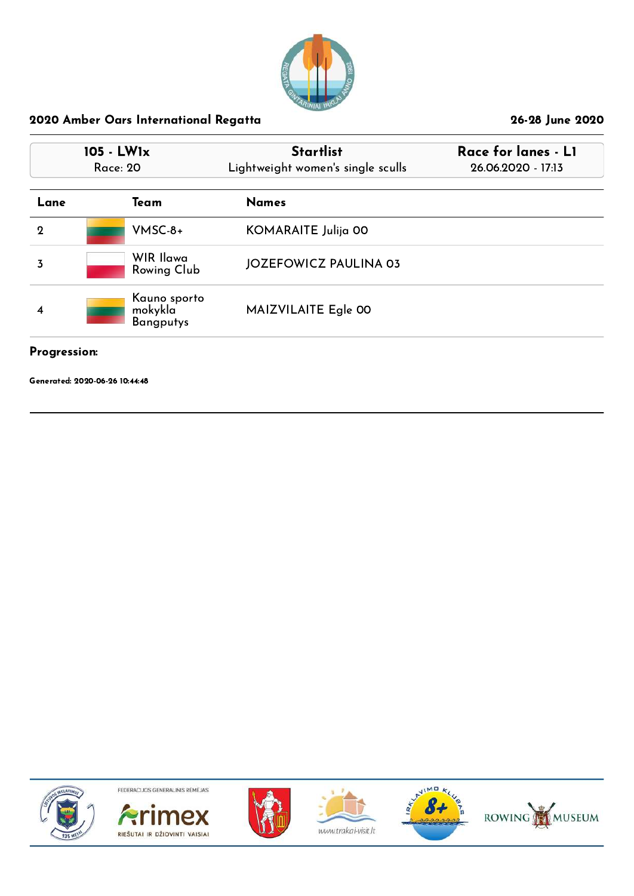

| 105 - LW1x<br>Race: 20 |                                             | <b>Startlist</b><br>Lightweight women's single sculls | Race for lanes - LI<br>26.06.2020 - 17:13 |  |
|------------------------|---------------------------------------------|-------------------------------------------------------|-------------------------------------------|--|
| Lane                   | Team                                        | <b>Names</b>                                          |                                           |  |
| $\mathbf 2$            | $V$ MSC-8+                                  | KOMARAITE Julija 00                                   |                                           |  |
| 3                      | WIR Ilawa<br>Rowing Club                    | <b>JOZEFOWICZ PAULINA 03</b>                          |                                           |  |
| 4                      | Kauno sporto<br>mokykla<br><b>Bangputys</b> | MAIZVILAITE Egle 00                                   |                                           |  |

#### Progression:

Generated: 2020-06-26 10:44:48











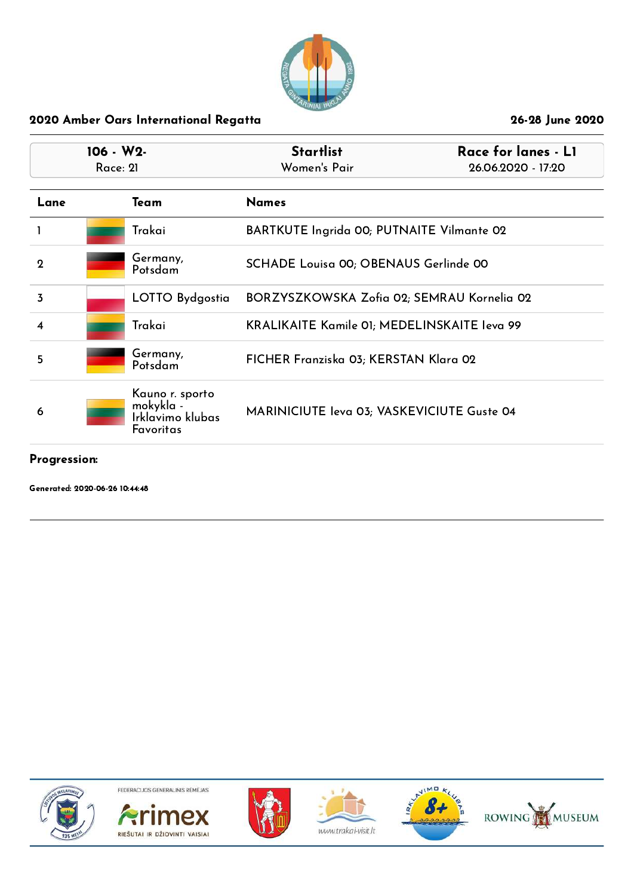

| $106 - W2$<br>Race: 21 |  |                                                               | <b>Startlist</b><br>Women's Pair                   | Race for lanes - L1<br>26.06.2020 - 17:20 |
|------------------------|--|---------------------------------------------------------------|----------------------------------------------------|-------------------------------------------|
| Lane                   |  | Team                                                          | <b>Names</b>                                       |                                           |
|                        |  | Trakai                                                        | BARTKUTE Ingrida 00; PUTNAITE Vilmante 02          |                                           |
| $\overline{2}$         |  | Germany,<br>Potsdam                                           | SCHADE Louisa 00; OBENAUS Gerlinde 00              |                                           |
| 3                      |  | LOTTO Bydgostia                                               | BORZYSZKOWSKA Zofia 02; SEMRAU Kornelia 02         |                                           |
| $\overline{\bf 4}$     |  | Trakai                                                        | <b>KRALIKAITE Kamile 01; MEDELINSKAITE leva 99</b> |                                           |
| 5                      |  | Germany,<br>Potsdam                                           | FICHER Franziska 03; KERSTAN Klara 02              |                                           |
| 6                      |  | Kauno r. sporto<br>mokykla -<br>Irklavimo klubas<br>Favoritas | MARINICIUTE Ieva 03; VASKEVICIUTE Guste 04         |                                           |

#### Progression:

Generated: 2020-06-26 10:44:48











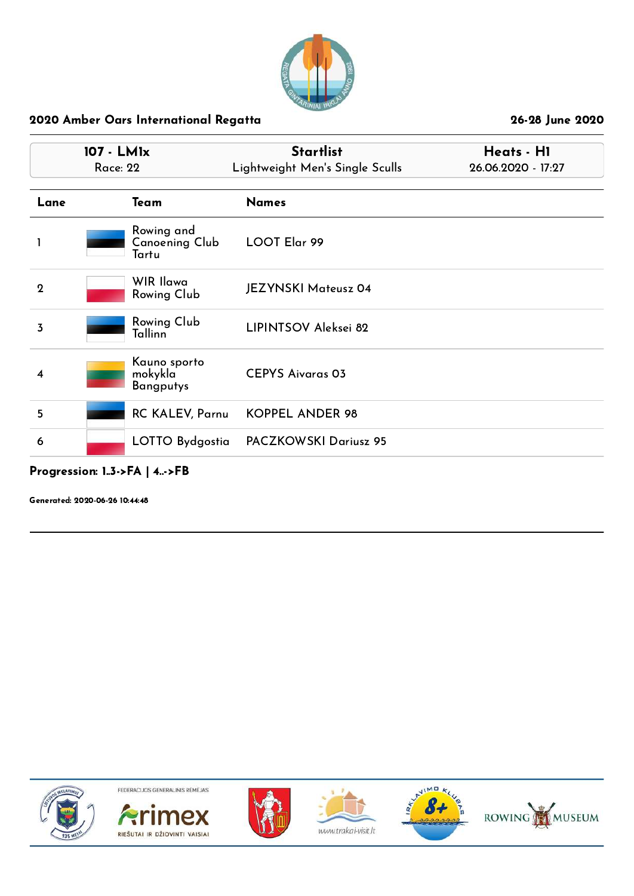

| 107 - LMIx<br><b>Race: 22</b> |                                       | <b>Startlist</b><br>Lightweight Men's Single Sculls | Heats - H1<br>26.06.2020 - 17:27 |
|-------------------------------|---------------------------------------|-----------------------------------------------------|----------------------------------|
| Lane                          | Team                                  | <b>Names</b>                                        |                                  |
|                               | Rowing and<br>Canoening Club<br>Tartu | LOOT Elar 99                                        |                                  |
| $\boldsymbol{2}$              | WIR Ilawa<br>Rowing Club              | <b>JEZYNSKI Mateusz 04</b>                          |                                  |
| 3                             | Rowing Club<br>Tallinn                | LIPINTSOV Aleksei 82                                |                                  |
| 4                             | Kauno sporto<br>mokykla<br>Bangputys  | <b>CEPYS Aivaras 03</b>                             |                                  |
| 5                             | <b>RC KALEV, Parnu</b>                | <b>KOPPEL ANDER 98</b>                              |                                  |
| 6                             | LOTTO Bydgostia                       | <b>PACZKOWSKI Dariusz 95</b>                        |                                  |

## Progression: 1..3->FA | 4..->FB

Generated: 2020-06-26 10:44:48











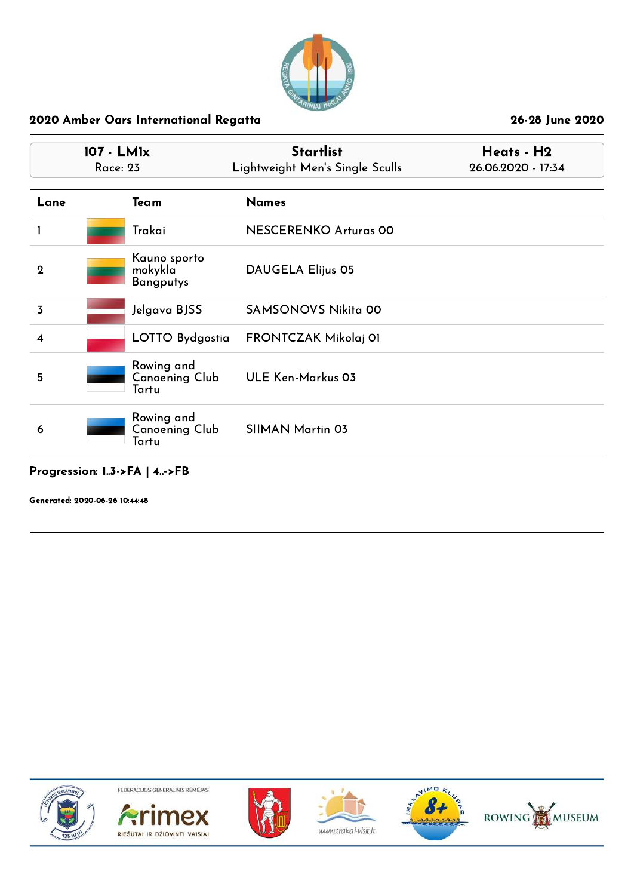

|                    | 107 - LM1x<br><b>Race: 23</b>               | <b>Startlist</b><br>Lightweight Men's Single Sculls | Heats - H2<br>26.06.2020 - 17:34 |  |
|--------------------|---------------------------------------------|-----------------------------------------------------|----------------------------------|--|
| Lane               | Team                                        | <b>Names</b>                                        |                                  |  |
|                    | Trakai                                      | <b>NESCERENKO Arturas 00</b>                        |                                  |  |
| $\mathbf{2}$       | Kauno sporto<br>mokykla<br><b>Bangputys</b> | <b>DAUGELA Elijus 05</b>                            |                                  |  |
| 3                  | Jelgava BJSS                                | <b>SAMSONOVS Nikita 00</b>                          |                                  |  |
| $\overline{\bf 4}$ | LOTTO Bydgostia                             | FRONTCZAK Mikolaj 01                                |                                  |  |
| 5                  | Rowing and<br>Canoening Club<br>Tartu       | <b>ULE Ken-Markus 03</b>                            |                                  |  |
| 6                  | Rowing and<br>Canoening Club<br>Tartu       | <b>SIIMAN Martin 03</b>                             |                                  |  |

## Progression: 1..3->FA | 4..->FB

Generated: 2020-06-26 10:44:48











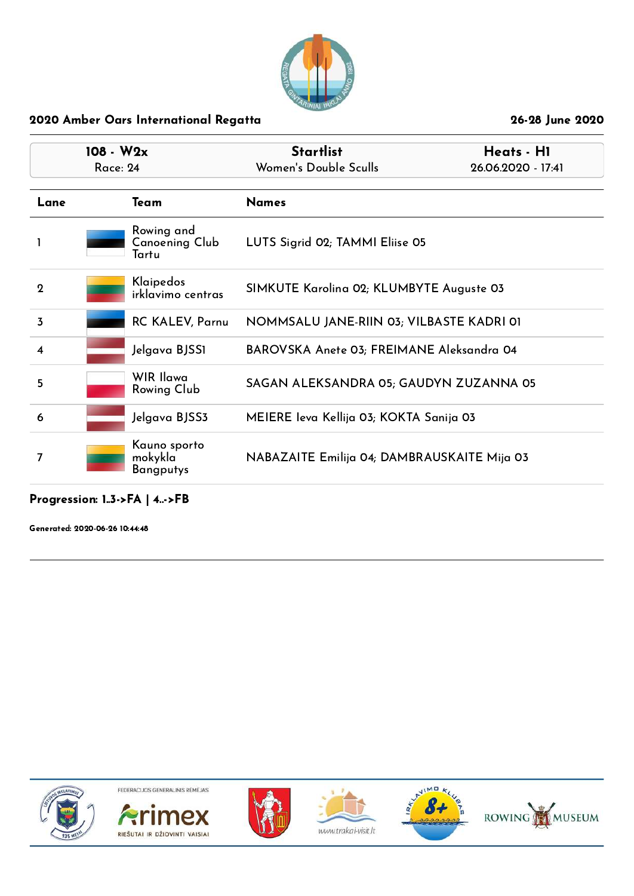

| $108 - W2x$<br><b>Race: 24</b> |  |                                       | <b>Startlist</b><br>Women's Double Sculls   | Heats - H1         |
|--------------------------------|--|---------------------------------------|---------------------------------------------|--------------------|
|                                |  |                                       |                                             | 26.06.2020 - 17:41 |
| Lane                           |  | Team                                  | <b>Names</b>                                |                    |
|                                |  | Rowing and<br>Canoening Club<br>Tartu | LUTS Sigrid 02; TAMMI Eliise 05             |                    |
| $\mathbf 2$                    |  | Klaipedos<br>irklavimo centras        | SIMKUTE Karolina 02; KLUMBYTE Auguste 03    |                    |
| $\overline{3}$                 |  | <b>RC KALEV, Parnu</b>                | NOMMSALU JANE-RIIN 03; VILBASTE KADRI 01    |                    |
| $\overline{\mathbf{4}}$        |  | Jelgava BJSS1                         | BAROVSKA Anete 03; FREIMANE Aleksandra 04   |                    |
| 5                              |  | WIR Ilawa<br>Rowing Club              | SAGAN ALEKSANDRA 05; GAUDYN ZUZANNA 05      |                    |
| 6                              |  | Jelgava BJSS3                         | MEIERE Ieva Kellija 03; KOKTA Sanija 03     |                    |
| 7                              |  | Kauno sporto<br>mokykla<br>Bangputys  | NABAZAITE Emilija 04; DAMBRAUSKAITE Mija 03 |                    |

#### Progression: 1..3->FA | 4..->FB

Generated: 2020-06-26 10:44:48











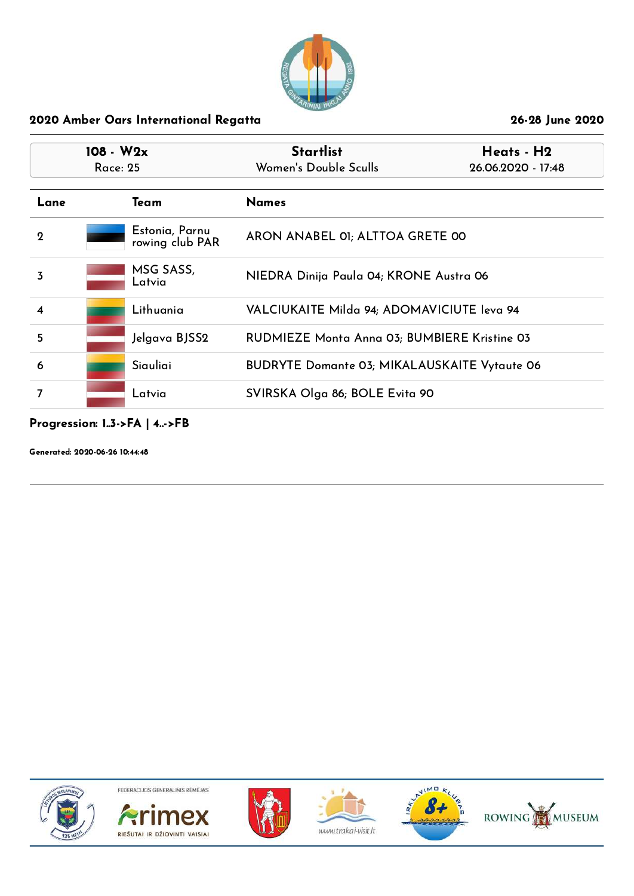

| $108 - W2x$<br>Race: 25 |  |                                   | <b>Startlist</b><br>Women's Double Sculls           | Heats - H2<br>26.06.2020 - 17:48 |
|-------------------------|--|-----------------------------------|-----------------------------------------------------|----------------------------------|
| Lane                    |  | Team                              | <b>Names</b>                                        |                                  |
| $\overline{2}$          |  | Estonia, Parnu<br>rowing club PAR | ARON ANABEL 01; ALTTOA GRETE 00                     |                                  |
| 3                       |  | MSG SASS,<br>Latvia               | NIEDRA Dinija Paula 04; KRONE Austra 06             |                                  |
| $\overline{\mathbf{4}}$ |  | Lithuania                         | VALCIUKAITE Milda 94; ADOMAVICIUTE leva 94          |                                  |
| 5                       |  | Jelgava BJSS2                     | RUDMIEZE Monta Anna 03; BUMBIERE Kristine 03        |                                  |
| 6                       |  | Siauliai                          | <b>BUDRYTE Domante 03; MIKALAUSKAITE Vytaute 06</b> |                                  |
| 7                       |  | Latvia                            | SVIRSKA Olga 86; BOLE Evita 90                      |                                  |

# Progression: 1..3->FA | 4..->FB

Generated: 2020-06-26 10:44:48











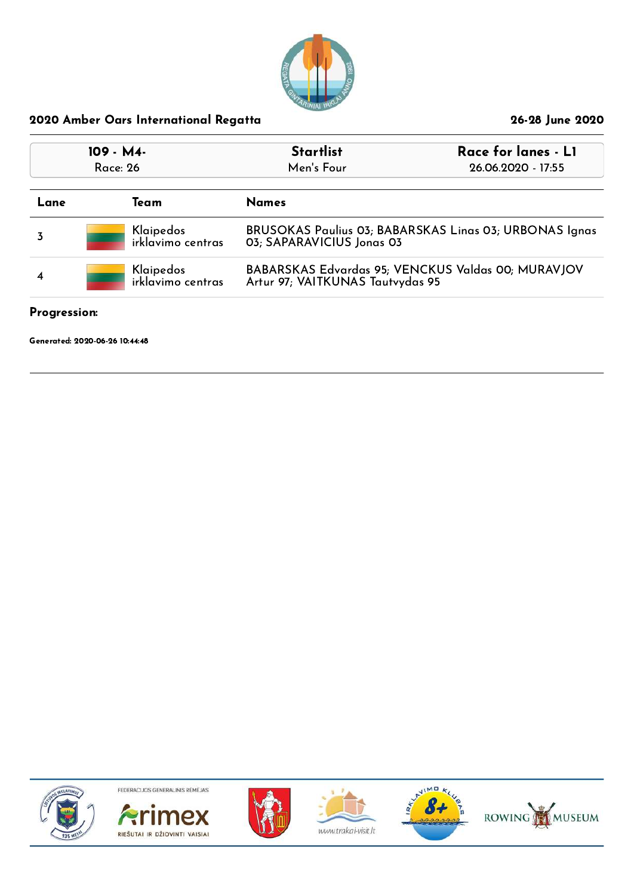

| 109 - M4-<br>Race: 26 |                                                                                                                          |                                | <b>Startlist</b><br>Men's Four                                                      | Race for lanes - LI<br>26.06.2020 - 17:55 |
|-----------------------|--------------------------------------------------------------------------------------------------------------------------|--------------------------------|-------------------------------------------------------------------------------------|-------------------------------------------|
| Lane                  |                                                                                                                          | Team                           | <b>Names</b>                                                                        |                                           |
|                       |                                                                                                                          | Klaipedos<br>irklavimo centras | BRUSOKAS Paulius 03; BABARSKAS Linas 03; URBONAS Ignas<br>03; SAPARAVICIUS Jonas 03 |                                           |
| $\overline{\bf 4}$    | BABARSKAS Edvardas 95; VENCKUS Valdas 00; MURAVJOV<br>Klaipedos<br>irklavimo centras<br>Artur 97; VAITKUNAS Tautvydas 95 |                                |                                                                                     |                                           |

## Progression:

Generated: 2020-06-26 10:44:48











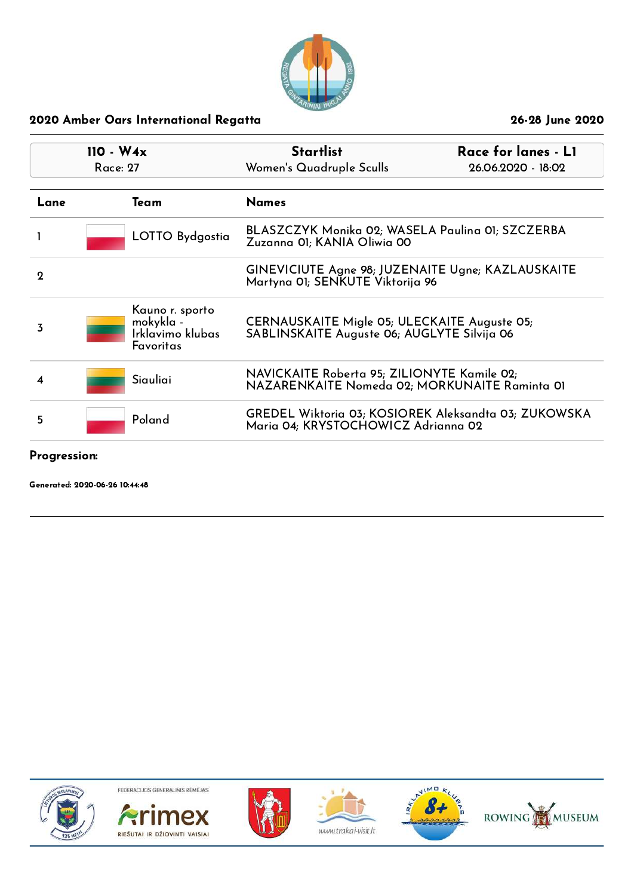

| $110 - W4x$<br>Race: 27 |                                                                      | <b>Startlist</b><br>Women's Quadruple Sculls                                                 | Race for lanes - LI<br>26.06.2020 - 18:02 |
|-------------------------|----------------------------------------------------------------------|----------------------------------------------------------------------------------------------|-------------------------------------------|
| Lane                    | Team                                                                 | <b>Names</b>                                                                                 |                                           |
|                         | LOTTO Bydgostia                                                      | BLASZCZYK Monika 02; WASELA Paulina 01; SZCZERBA<br>Zuzanna 01; KANIA Oliwia 00              |                                           |
| $\mathbf 2$             |                                                                      | GINEVICIUTE Agne 98; JUZENAITE Ugne; KAZLAUSKAITE<br>Martyna OI; SENKUTE Viktorija 96        |                                           |
| 3                       | Kauno r. sporto<br>mokykla -<br>Irklavimo klubas<br><b>Favoritas</b> | CERNAUSKAITE Migle 05; ULECKAITE Auguste 05;<br>SABLINSKAITE Auguste 06; AUGLYTE Silvija 06  |                                           |
| 4                       | Siauliai                                                             | NAVICKAITE Roberta 95; ZILIONYTE Kamile 02;<br>NAZARENKAITE Nomeda 02; MORKUNAITE Raminta 01 |                                           |
| 5                       | Poland                                                               | GREDEL Wiktoria 03; KOSIOREK Aleksandta 03; ZUKOWSKA<br>Maria 04; KRYSTOCHOWICZ Adrianna 02  |                                           |

Progression:

Generated: 2020-06-26 10:44:48











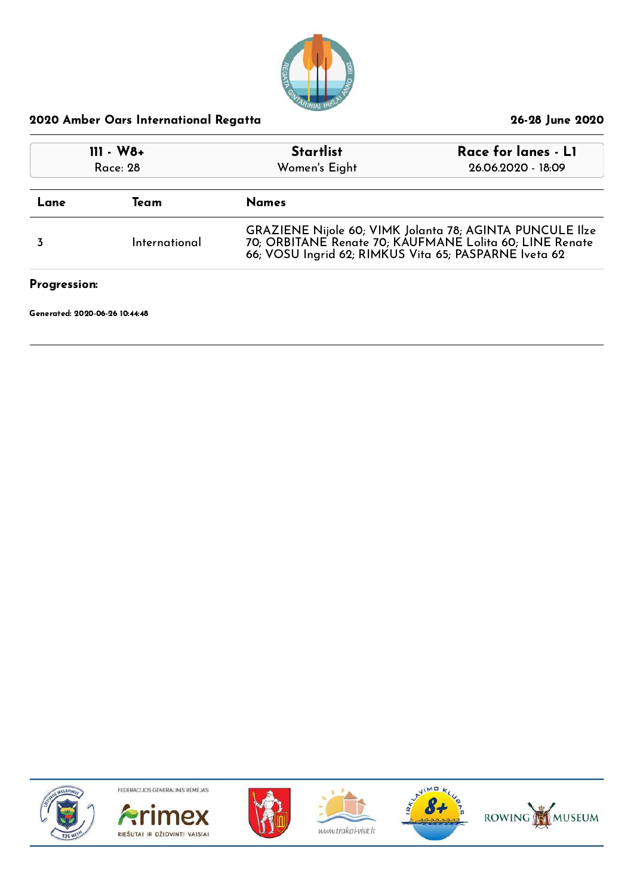

| $111 - W8 +$<br>Race: 28 |               | <b>Startlist</b><br>Women's Eight                                                                                                                                            | Race for lanes - LI<br>26.06.2020 - 18:09 |
|--------------------------|---------------|------------------------------------------------------------------------------------------------------------------------------------------------------------------------------|-------------------------------------------|
| Lane                     | Team          | <b>Names</b>                                                                                                                                                                 |                                           |
|                          | International | GRAZIENE Nijole 60; VIMK Jolanta 78; AGINTA PUNCULE Ilze<br>70; ORBITANE Renate 70; KAUFMANE Lolita 60; LINE Renate<br>66; VOSU Ingrid 62; RIMKUS Vita 65; PASPARNE Iveta 62 |                                           |
| Progression:             |               |                                                                                                                                                                              |                                           |

Generated: 2020-06-26 10:44:48











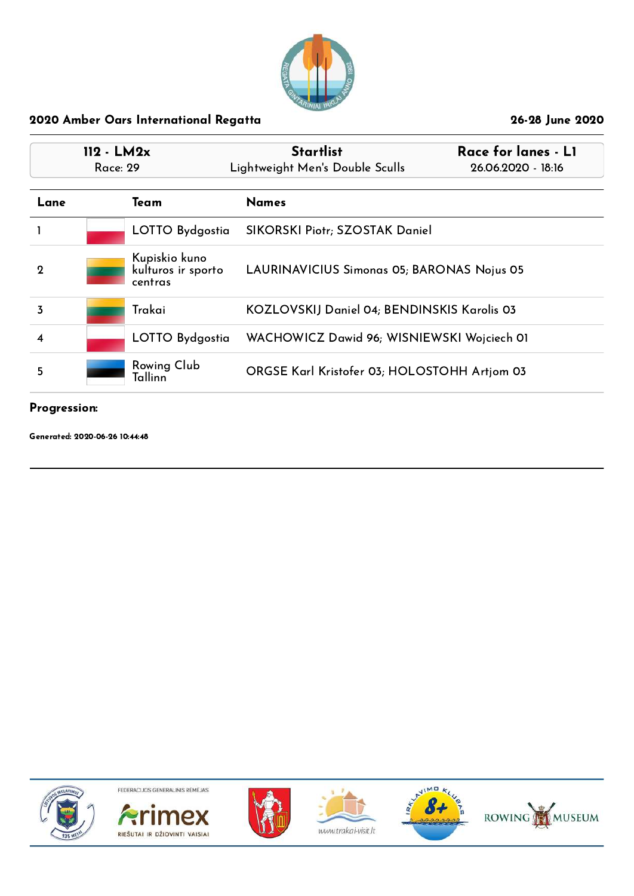

| $112 - LM2x$<br>Race: 29 |                                                | <b>Startlist</b><br>Lightweight Men's Double Sculls | Race for lanes - LI<br>26.06.2020 - 18:16 |
|--------------------------|------------------------------------------------|-----------------------------------------------------|-------------------------------------------|
| Lane                     | Team                                           | <b>Names</b>                                        |                                           |
|                          | LOTTO Bydgostia                                | SIKORSKI Piotr; SZOSTAK Daniel                      |                                           |
| $\mathbf 2$              | Kupiskio kuno<br>kulturos ir sporto<br>centras | LAURINAVICIUS Simonas 05; BARONAS Nojus 05          |                                           |
| 3                        | Trakai                                         | KOZLOVSKIJ Daniel 04; BENDINSKIS Karolis 03         |                                           |
| 4                        | LOTTO Bydgostia                                | WACHOWICZ Dawid 96; WISNIEWSKI Wojciech OI          |                                           |
| 5                        | Rowing Club<br>Tallinn                         | ORGSE Karl Kristofer 03; HOLOSTOHH Artjom 03        |                                           |

#### Progression:

Generated: 2020-06-26 10:44:48











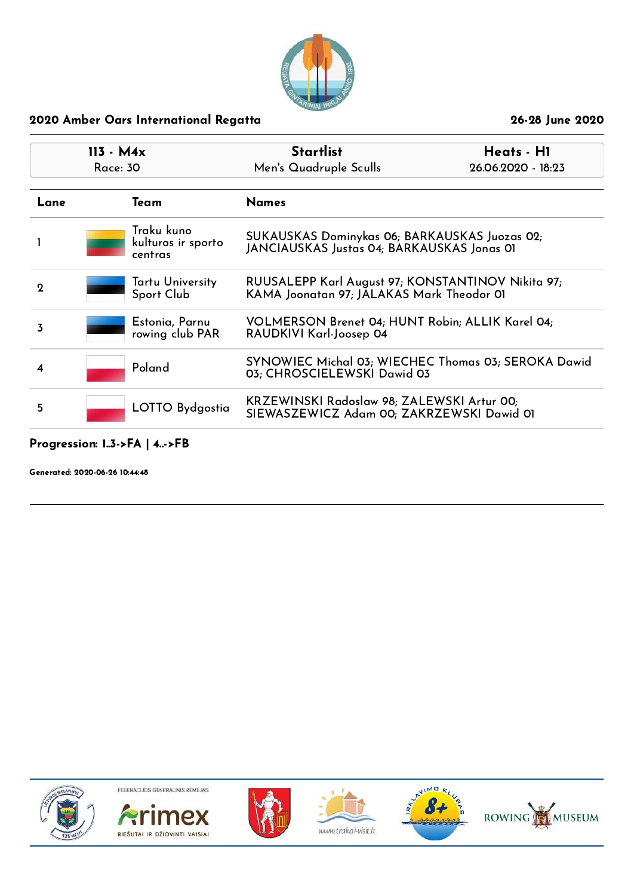

| $113 - M4x$<br>Race: 30 |                                             | <b>Startlist</b><br>Men's Quadruple Sculls                                                     | Heats - H1<br>26.06.2020 - 18:23 |
|-------------------------|---------------------------------------------|------------------------------------------------------------------------------------------------|----------------------------------|
| Lane                    | Team                                        | <b>Names</b>                                                                                   |                                  |
|                         | Traku kuno<br>kulturos ir sporto<br>centras | SUKAUSKAS Dominykas 06; BARKAUSKAS Juozas 02;<br>JANCIAUSKAS Justas 04; BARKAUSKAS Jonas 01    |                                  |
| $\Omega$                | Tartu University<br>Sport Club              | RUUSALEPP Karl August 97; KONSTANTINOV Nikita 97;<br>KAMA Joonatan 97; JALAKAS Mark Theodor 01 |                                  |
| 3                       | Estonia, Parnu<br>rowing club PAR           | VOLMERSON Brenet 04; HUNT Robin; ALLIK Karel 04;<br>RAUDKIVI Karl-Joosep 04                    |                                  |
| 4                       | Poland                                      | SYNOWIEC Michal 03; WIECHEC Thomas 03; SEROKA Dawid<br>03; CHROSCIELEWSKI Dawid 03             |                                  |
| 5                       | LOTTO Bydgostia                             | KRZEWINSKI Radoslaw 98; ZALEWSKI Artur 00;<br>SIEWASZEWICZ Adam 00; ZAKRZEWSKI Dawid 01        |                                  |

## Progression: 1..3->FA | 4..->FB

Generated: 2020-06-26 10:44:48











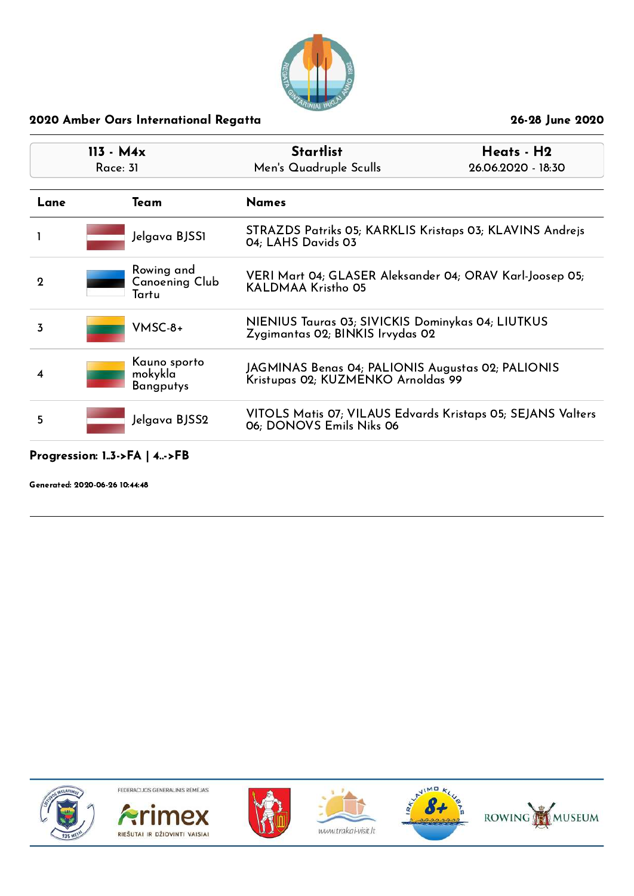

| $113 - M4x$<br>Race: 31 |                                             | <b>Startlist</b><br>Men's Quadruple Sculls                                              | Heats - H2<br>26.06.2020 - 18:30 |
|-------------------------|---------------------------------------------|-----------------------------------------------------------------------------------------|----------------------------------|
| Lane                    | Team                                        | <b>Names</b>                                                                            |                                  |
|                         | Jelgava BJSS1                               | STRAZDS Patriks 05; KARKLIS Kristaps 03; KLAVINS Andrejs<br>04: LAHS Davids 03          |                                  |
| $\mathbf 2$             | Rowing and<br>Canoening Club<br>Tartu       | VERI Mart 04; GLASER Aleksander 04; ORAV Karl-Joosep 05;<br>KALDMAA Kristho 05          |                                  |
| 3                       | $VMSC-8+$                                   | NIENIUS Tauras 03; SIVICKIS Dominykas 04; LIUTKUS<br>Zygimantas 02; BINKIS Irvydas 02   |                                  |
| 4                       | Kauno sporto<br>mokykla<br><b>Bangputys</b> | JAGMINAS Benas 04; PALIONIS Augustas 02; PALIONIS<br>Kristupas 02; KUZMENKO Arnoldas 99 |                                  |
| 5                       | Jelgava BJSS2                               | VITOLS Matis 07; VILAUS Edvards Kristaps 05; SEJANS Valters<br>06; DONOVS Emils Niks 06 |                                  |

## Progression: 1..3->FA | 4..->FB

Generated: 2020-06-26 10:44:48